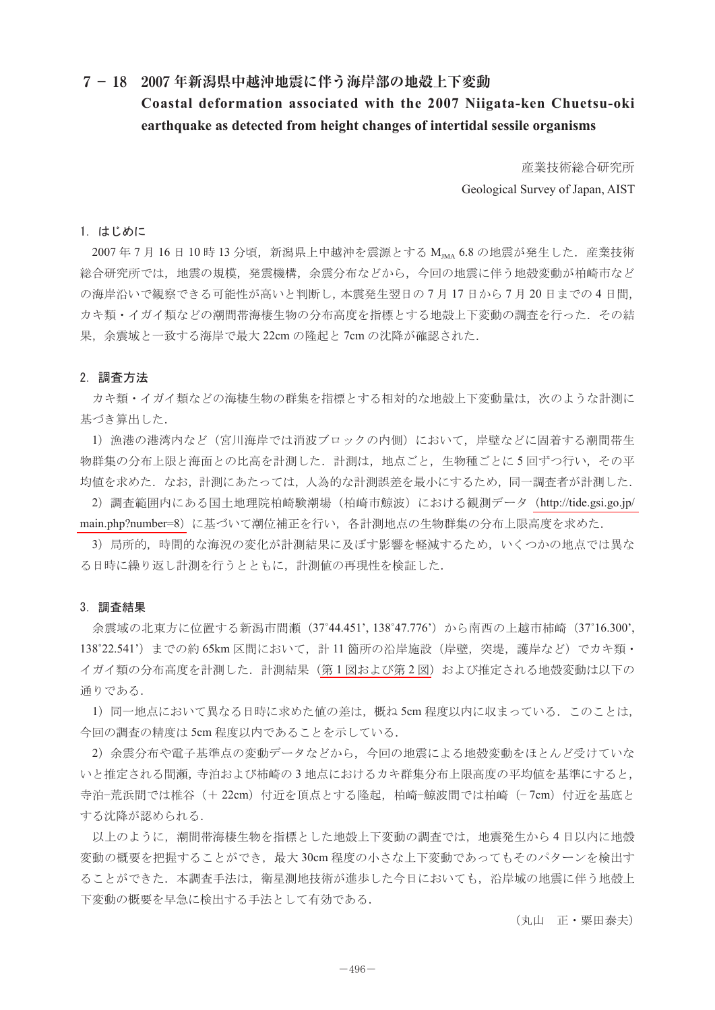## **7- 18 2007 年新潟県中越沖地震に伴う海岸部の地殻上下変動**

# **Coastal deformation associated with the 2007 Niigata-ken Chuetsu-oki earthquake as detected from height changes of intertidal sessile organisms**

産業技術総合研究所 Geological Survey of Japan, AIST

### 1.はじめに

2007年7月16日10時13分頃,新潟県上中越沖を震源とする MMA 6.8 の地震が発生した. 産業技術 総合研究所では,地震の規模,発震機構,余震分布などから,今回の地震に伴う地殻変動が柏崎市など の海岸沿いで観察できる可能性が高いと判断し,本震発生翌日の 7 月 17 日から 7 月 20 日までの 4 日間, カキ類・イガイ類などの潮間帯海棲生物の分布高度を指標とする地殻上下変動の調査を行った.その結 果,余震域と一致する海岸で最大 22cm の隆起と 7cm の沈降が確認された.

#### 2.調査方法

 カキ類・イガイ類などの海棲生物の群集を指標とする相対的な地殻上下変動量は,次のような計測に 基づき算出した.

1)漁港の港湾内など(宮川海岸では消波ブロックの内側)において,岸壁などに固着する潮間帯生 物群集の分布上限と海面との比高を計測した.計測は,地点ごと,生物種ごとに 5 回ずつ行い,その平 均値を求めた.なお,計測にあたっては,人為的な計測誤差を最小にするため,同一調査者が計測した.

2)調査範囲内にある国土地理院柏崎験潮場(柏崎市鯨波)における観測データ([http://tide.gsi.go.jp/](http://tide.gsi.go.jp/main.php?number=8) [main.php?number=8](http://tide.gsi.go.jp/main.php?number=8))に基づいて潮位補正を行い、各計測地点の生物群集の分布上限高度を求めた.

3) 局所的,時間的な海況の変化が計測結果に及ぼす影響を軽減するため、いくつかの地点では異な る日時に繰り返し計測を行うとともに,計測値の再現性を検証した.

### 3.調査結果

余震域の北東方に位置する新潟市間瀬(37˚44.451', 138˚47.776')から南西の上越市柿崎(37˚16.300', 138°22.541') までの約 65km 区間において、計 11 箇所の沿岸施設(岸壁, 突堤, 護岸など) でカキ類· イガイ類の分布高度を計測した.計測結果(第1[図および第](#page-1-0)2図)および推定される地殻変動は以下の 通りである.

1) 同一地点において異なる日時に求めた値の差は、概ね 5cm 程度以内に収まっている. このことは, 今回の調査の精度は 5cm 程度以内であることを示している.

2)余震分布や電子基準点の変動データなどから,今回の地震による地殻変動をほとんど受けていな いと推定される間瀬,寺泊および柿崎の 3 地点におけるカキ群集分布上限高度の平均値を基準にすると, 寺泊−荒浜間では椎谷(+ 22cm)付近を頂点とする隆起,柏崎−鯨波間では柏崎(-7cm)付近を基底と する沈降が認められる.

以上のように,潮間帯海棲生物を指標とした地殻上下変動の調査では,地震発生から 4 日以内に地殻 変動の概要を把握することができ,最大 30cm 程度の小さな上下変動であってもそのパターンを検出す ることができた.本調査手法は,衛星測地技術が進歩した今日においても,沿岸域の地震に伴う地殻上 下変動の概要を早急に検出する手法として有効である.

(丸山 正・粟田泰夫)